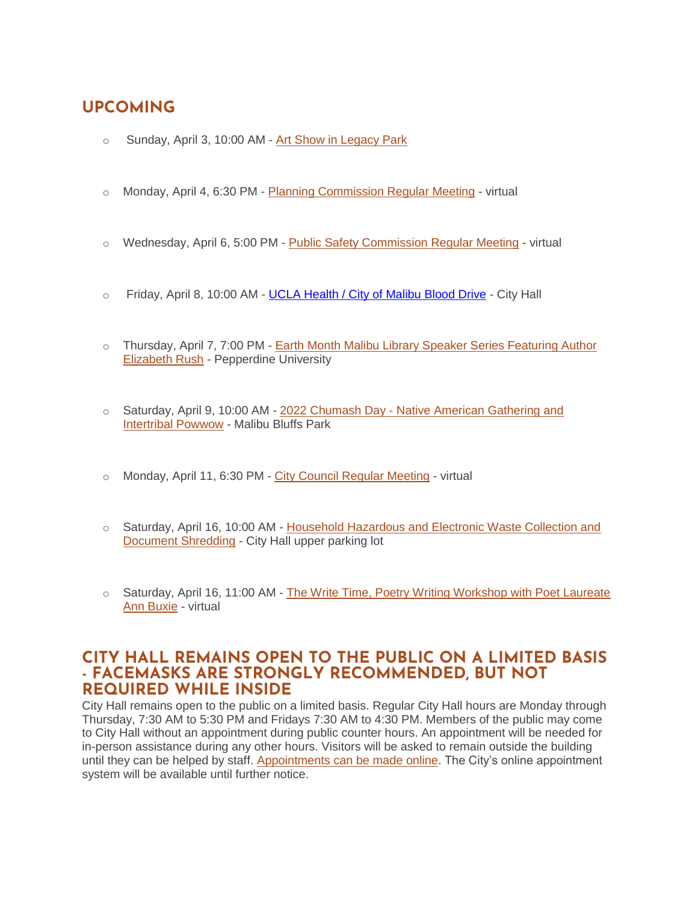# **UPCOMING**

- o Sunday, April 3, 10:00 AM [Art Show in Legacy Park](https://www.malibucity.org/Calendar.aspx?EID=6657&month=4&year=2022&day=3&calType=0)
- o Monday, April 4, 6:30 PM [Planning Commission Regular Meeting](https://www.malibucity.org/Calendar.aspx?EID=6333&month=4&year=2022&day=4&calType=0) virtual
- o Wednesday, April 6, 5:00 PM [Public Safety Commission Regular Meeting](https://www.malibucity.org/Calendar.aspx?EID=6241&month=4&year=2022&day=6&calType=0) virtual
- o Friday, April 8, 10:00 AM [UCLA Health / City of Malibu Blood Drive](https://www.ucedonor.com/) City Hall
- o Thursday, April 7, 7:00 PM [Earth Month Malibu Library Speaker Series Featuring Author](https://www.malibucity.org/Calendar.aspx?EID=6612&month=4&year=2022&day=7&calType=0)  [Elizabeth Rush](https://www.malibucity.org/Calendar.aspx?EID=6612&month=4&year=2022&day=7&calType=0) - Pepperdine University
- o Saturday, April 9, 10:00 AM 2022 Chumash Day [Native American Gathering and](https://www.malibucity.org/Calendar.aspx?EID=6455&month=4&year=2022&day=9&calType=0)  [Intertribal Powwow](https://www.malibucity.org/Calendar.aspx?EID=6455&month=4&year=2022&day=9&calType=0) - Malibu Bluffs Park
- o Monday, April 11, 6:30 PM [City Council Regular Meeting](https://www.malibucity.org/AgendaCenter/ViewFile/Item/5492?fileID=29044) virtual
- o Saturday, April 16, 10:00 AM [Household Hazardous and Electronic Waste Collection and](https://www.malibucity.org/Calendar.aspx?EID=5697&month=4&year=2022&day=16&calType=0)  [Document Shredding](https://www.malibucity.org/Calendar.aspx?EID=5697&month=4&year=2022&day=16&calType=0) - City Hall upper parking lot
- $\circ$  Saturday, April 16, 11:00 AM The Write Time, Poetry Writing Workshop with Poet Laureate [Ann Buxie](https://www.malibucity.org/Calendar.aspx?EID=6603&month=4&year=2022&day=16&calType=0) - virtual

### **CITY HALL REMAINS OPEN TO THE PUBLIC ON A LIMITED BASIS - FACEMASKS ARE STRONGLY RECOMMENDED, BUT NOT REQUIRED WHILE INSIDE**

City Hall remains open to the public on a limited basis. Regular City Hall hours are Monday through Thursday, 7:30 AM to 5:30 PM and Fridays 7:30 AM to 4:30 PM. Members of the public may come to City Hall without an appointment during public counter hours. An appointment will be needed for in-person assistance during any other hours. Visitors will be asked to remain outside the building until they can be helped by staff. [Appointments can be made online.](http://www.malibucity.org/appointments) The City's online appointment system will be available until further notice.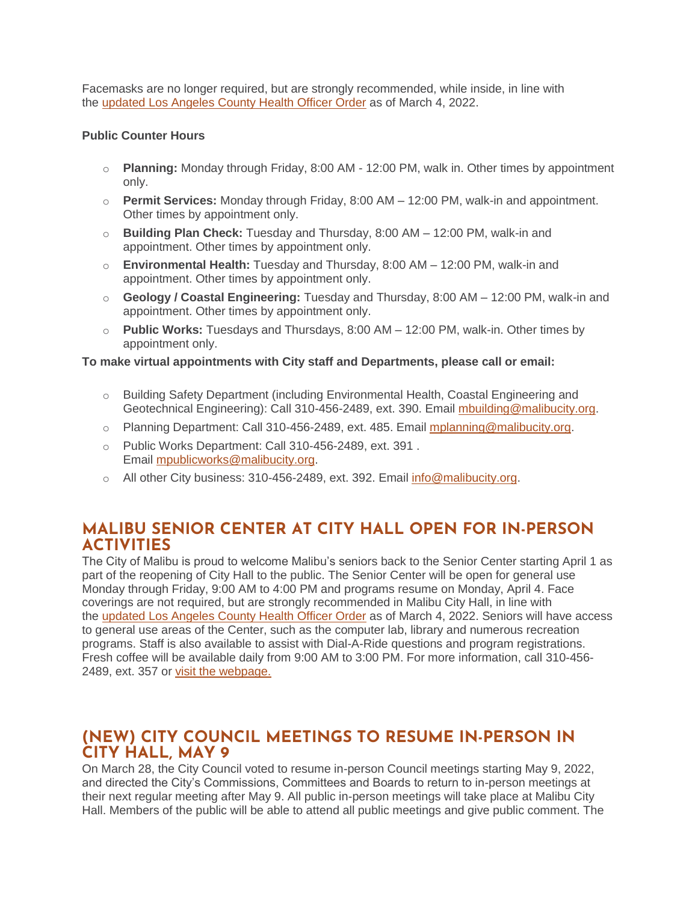Facemasks are no longer required, but are strongly recommended, while inside, in line with the [updated Los Angeles County Health Officer Order](http://publichealth.lacounty.gov/media/Coronavirus/docs/HOO/HOO_SaferReturnWorkCommunity.pdf) as of March 4, 2022.

#### **Public Counter Hours**

- o **Planning:** Monday through Friday, 8:00 AM 12:00 PM, walk in. Other times by appointment only.
- o **Permit Services:** Monday through Friday, 8:00 AM 12:00 PM, walk-in and appointment. Other times by appointment only.
- o **Building Plan Check:** Tuesday and Thursday, 8:00 AM 12:00 PM, walk-in and appointment. Other times by appointment only.
- o **Environmental Health:** Tuesday and Thursday, 8:00 AM 12:00 PM, walk-in and appointment. Other times by appointment only.
- o **Geology / Coastal Engineering:** Tuesday and Thursday, 8:00 AM 12:00 PM, walk-in and appointment. Other times by appointment only.
- o **Public Works:** Tuesdays and Thursdays, 8:00 AM 12:00 PM, walk-in. Other times by appointment only.

#### **To make virtual appointments with City staff and Departments, please call or email:**

- o Building Safety Department (including Environmental Health, Coastal Engineering and Geotechnical Engineering): Call 310-456-2489, ext. 390. Email [mbuilding@malibucity.org.](mailto:mbuilding@malibucity.org)
- o Planning Department: Call 310-456-2489, ext. 485. Email [mplanning@malibucity.org.](mailto:mplanning@malibucity.org)
- o Public Works Department: Call 310-456-2489, ext. 391 . Email [mpublicworks@malibucity.org.](mailto:mpublicworks@malibucity.org)
- o All other City business: 310-456-2489, ext. 392. Email [info@malibucity.org.](mailto:info@malibucity.org)

## **MALIBU SENIOR CENTER AT CITY HALL OPEN FOR IN-PERSON ACTIVITIES**

The City of Malibu is proud to welcome Malibu's seniors back to the Senior Center starting April 1 as part of the reopening of City Hall to the public. The Senior Center will be open for general use Monday through Friday, 9:00 AM to 4:00 PM and programs resume on Monday, April 4. Face coverings are not required, but are strongly recommended in Malibu City Hall, in line with the [updated Los Angeles County Health Officer Order](http://publichealth.lacounty.gov/media/Coronavirus/docs/HOO/HOO_SaferReturnWorkCommunity.pdf) as of March 4, 2022. Seniors will have access to general use areas of the Center, such as the computer lab, library and numerous recreation programs. Staff is also available to assist with Dial-A-Ride questions and program registrations. Fresh coffee will be available daily from 9:00 AM to 3:00 PM. For more information, call 310-456- 2489, ext. 357 or [visit the webpage.](https://www.malibucity.org/seniorcenter)

## **(NEW) CITY COUNCIL MEETINGS TO RESUME IN-PERSON IN CITY HALL, MAY 9**

On March 28, the City Council voted to resume in-person Council meetings starting May 9, 2022, and directed the City's Commissions, Committees and Boards to return to in-person meetings at their next regular meeting after May 9. All public in-person meetings will take place at Malibu City Hall. Members of the public will be able to attend all public meetings and give public comment. The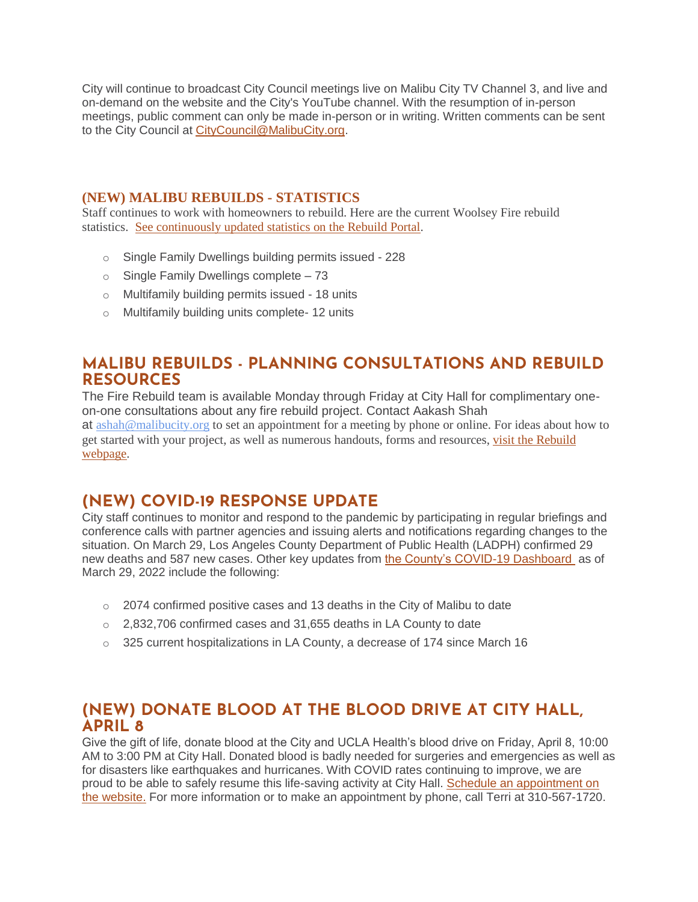City will continue to broadcast City Council meetings live on Malibu City TV Channel 3, and live and on-demand on the website and the City's YouTube channel. With the resumption of in-person meetings, public comment can only be made in-person or in writing. Written comments can be sent to the City Council at [CityCouncil@MalibuCity.org.](mailto:CityCouncil@MalibuCity.org)

### **(NEW) MALIBU REBUILDS - STATISTICS**

Staff continues to work with homeowners to rebuild. Here are the current Woolsey Fire rebuild statistics. See [continuously](https://malibupermits.ci.malibu.ca.us/WoolseyRebuildStats.aspx?returnId=901) updated statistics on the Rebuild Portal.

- o Single Family Dwellings building permits issued 228
- o Single Family Dwellings complete 73
- o Multifamily building permits issued 18 units
- o Multifamily building units complete- 12 units

## **MALIBU REBUILDS - PLANNING CONSULTATIONS AND REBUILD RESOURCES**

The Fire Rebuild team is available Monday through Friday at City Hall for complimentary oneon-one consultations about any fire rebuild project. Contact Aakash Shah

at [ashah@malibucity.org](mailto:ashah@malibucity.org) to set an appointment for a meeting by phone or online. For ideas about how to get started with your project, as well as numerous handouts, forms and resources, visit the [Rebuild](https://www.malibucity.org/901/Malibu-Rebuilds) [webpage.](https://www.malibucity.org/901/Malibu-Rebuilds)

# **(NEW) COVID-19 RESPONSE UPDATE**

City staff continues to monitor and respond to the pandemic by participating in regular briefings and conference calls with partner agencies and issuing alerts and notifications regarding changes to the situation. On March 29, Los Angeles County Department of Public Health (LADPH) confirmed 29 new deaths and 587 new cases. Other key updates from [the County's COVID-19 Dashboard](http://publichealth.lacounty.gov/media/coronavirus/data/index.htm) as of March 29, 2022 include the following:

- $\circ$  2074 confirmed positive cases and 13 deaths in the City of Malibu to date
- $\circ$  2,832,706 confirmed cases and 31,655 deaths in LA County to date
- $\circ$  325 current hospitalizations in LA County, a decrease of 174 since March 16

### **(NEW) DONATE BLOOD AT THE BLOOD DRIVE AT CITY HALL, APRIL 8**

Give the gift of life, donate blood at the City and UCLA Health's blood drive on Friday, April 8, 10:00 AM to 3:00 PM at City Hall. Donated blood is badly needed for surgeries and emergencies as well as for disasters like earthquakes and hurricanes. With COVID rates continuing to improve, we are proud to be able to safely resume this life-saving activity at City Hall. [Schedule an appointment on](http://www.ucedonor.com/)  [the website.](http://www.ucedonor.com/) For more information or to make an appointment by phone, call Terri at 310-567-1720.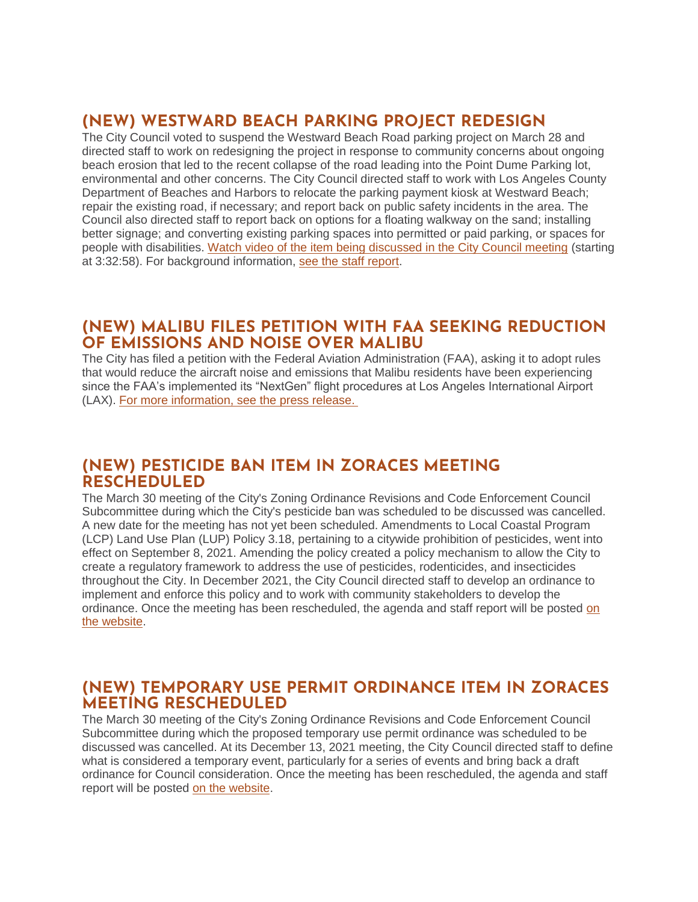# **(NEW) WESTWARD BEACH PARKING PROJECT REDESIGN**

The City Council voted to suspend the Westward Beach Road parking project on March 28 and directed staff to work on redesigning the project in response to community concerns about ongoing beach erosion that led to the recent collapse of the road leading into the Point Dume Parking lot, environmental and other concerns. The City Council directed staff to work with Los Angeles County Department of Beaches and Harbors to relocate the parking payment kiosk at Westward Beach; repair the existing road, if necessary; and report back on public safety incidents in the area. The Council also directed staff to report back on options for a floating walkway on the sand; installing better signage; and converting existing parking spaces into permitted or paid parking, or spaces for people with disabilities. [Watch video of the item being discussed in the City Council meeting](https://youtu.be/dkukUO71uV0?t=12778) (starting at 3:32:58). For background information, [see the staff report.](https://www.malibucity.org/AgendaCenter/ViewFile/Item/5478?fileID=28494)

### **(NEW) MALIBU FILES PETITION WITH FAA SEEKING REDUCTION OF EMISSIONS AND NOISE OVER MALIBU**

The City has filed a petition with the Federal Aviation Administration (FAA), asking it to adopt rules that would reduce the aircraft noise and emissions that Malibu residents have been experiencing since the FAA's implemented its "NextGen" flight procedures at Los Angeles International Airport (LAX). [For more information, see the press release.](https://www.malibucity.org/CivicAlerts.aspx?AID=1440)

### **(NEW) PESTICIDE BAN ITEM IN ZORACES MEETING RESCHEDULED**

The March 30 meeting of the City's Zoning Ordinance Revisions and Code Enforcement Council Subcommittee during which the City's pesticide ban was scheduled to be discussed was cancelled. A new date for the meeting has not yet been scheduled. Amendments to Local Coastal Program (LCP) Land Use Plan (LUP) Policy 3.18, pertaining to a citywide prohibition of pesticides, went into effect on September 8, 2021. Amending the policy created a policy mechanism to allow the City to create a regulatory framework to address the use of pesticides, rodenticides, and insecticides throughout the City. In December 2021, the City Council directed staff to develop an ordinance to implement and enforce this policy and to work with community stakeholders to develop the ordinance. Once the meeting has been rescheduled, the agenda and staff report will be posted [on](http://malibucity.org/agendacenter)  [the website.](http://malibucity.org/agendacenter)

## **(NEW) TEMPORARY USE PERMIT ORDINANCE ITEM IN ZORACES MEETING RESCHEDULED**

The March 30 meeting of the City's Zoning Ordinance Revisions and Code Enforcement Council Subcommittee during which the proposed temporary use permit ordinance was scheduled to be discussed was cancelled. At its December 13, 2021 meeting, the City Council directed staff to define what is considered a temporary event, particularly for a series of events and bring back a draft ordinance for Council consideration. Once the meeting has been rescheduled, the agenda and staff report will be posted [on the website.](http://malibucity.org/agendacenter)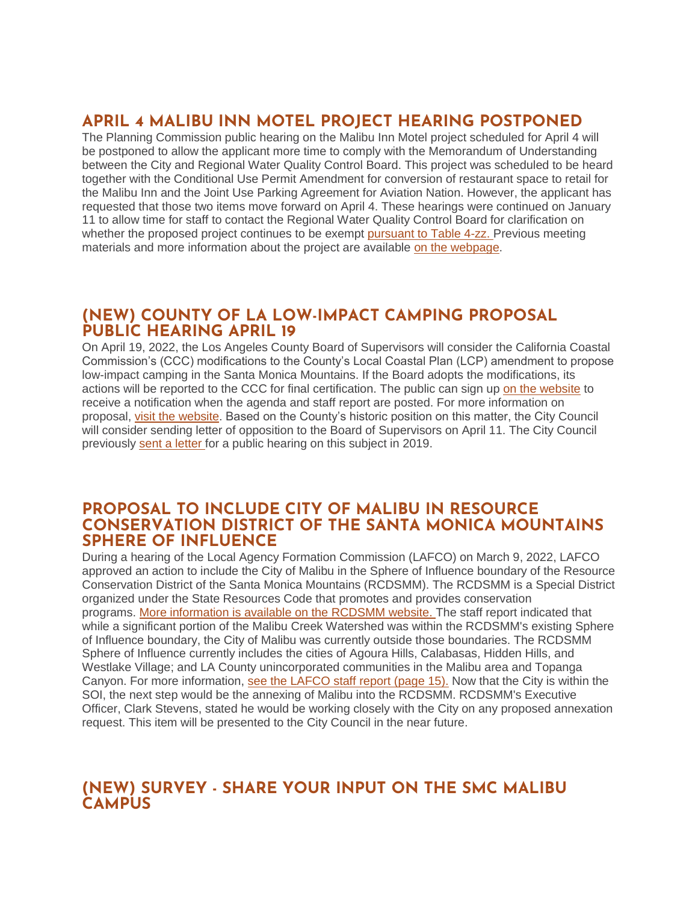# **APRIL 4 MALIBU INN MOTEL PROJECT HEARING POSTPONED**

The Planning Commission public hearing on the Malibu Inn Motel project scheduled for April 4 will be postponed to allow the applicant more time to comply with the Memorandum of Understanding between the City and Regional Water Quality Control Board. This project was scheduled to be heard together with the Conditional Use Permit Amendment for conversion of restaurant space to retail for the Malibu Inn and the Joint Use Parking Agreement for Aviation Nation. However, the applicant has requested that those two items move forward on April 4. These hearings were continued on January 11 to allow time for staff to contact the Regional Water Quality Control Board for clarification on whether the proposed project continues to be exempt [pursuant to Table 4-zz.](https://malibucity.org/DocumentCenter/View/29241/Table4-zzResolutionR14-003) Previous meeting materials and more information about the project are available [on the webpage.](https://www.malibucity.org/810/Malibu-Inn-Motel)

## **(NEW) COUNTY OF LA LOW-IMPACT CAMPING PROPOSAL PUBLIC HEARING APRIL 19**

On April 19, 2022, the Los Angeles County Board of Supervisors will consider the California Coastal Commission's (CCC) modifications to the County's Local Coastal Plan (LCP) amendment to propose low-impact camping in the Santa Monica Mountains. If the Board adopts the modifications, its actions will be reported to the CCC for final certification. The public can sign up [on the website](https://public.govdelivery.com/accounts/CALACOUNTY/subscriber/new?topic_id=CALACOUNTY_114) to receive a notification when the agenda and staff report are posted. For more information on proposal, [visit the website.](https://www.coastal.ca.gov/meetings/agenda/#/2021/7) Based on the County's historic position on this matter, the City Council will consider sending letter of opposition to the Board of Supervisors on April 11. The City Council previously [sent a letter](https://www.malibucity.org/DocumentCenter/View/29596/LACoBOS_LCP-Amendment-Camping-in-ESHA_190522-signed) for a public hearing on this subject in 2019.

### **PROPOSAL TO INCLUDE CITY OF MALIBU IN RESOURCE CONSERVATION DISTRICT OF THE SANTA MONICA MOUNTAINS SPHERE OF INFLUENCE**

During a hearing of the Local Agency Formation Commission (LAFCO) on March 9, 2022, LAFCO approved an action to include the City of Malibu in the Sphere of Influence boundary of the Resource Conservation District of the Santa Monica Mountains (RCDSMM). The RCDSMM is a Special District organized under the State Resources Code that promotes and provides conservation programs. [More information is available on the RCDSMM website.](https://www.rcdsmm.org/) The staff report indicated that while a significant portion of the Malibu Creek Watershed was within the RCDSMM's existing Sphere of Influence boundary, the City of Malibu was currently outside those boundaries. The RCDSMM Sphere of Influence currently includes the cities of Agoura Hills, Calabasas, Hidden Hills, and Westlake Village; and LA County unincorporated communities in the Malibu area and Topanga Canyon. For more information, [see the LAFCO staff report](https://lalafco.org/wp-content/uploads/documents/2022-meeting/Updated%20Finalized%20Agenda%2003-09-2022%20w%20links%204_1pdf) (page 15). Now that the City is within the SOI, the next step would be the annexing of Malibu into the RCDSMM. RCDSMM's Executive Officer, Clark Stevens, stated he would be working closely with the City on any proposed annexation request. This item will be presented to the City Council in the near future.

# **(NEW) SURVEY - SHARE YOUR INPUT ON THE SMC MALIBU CAMPUS**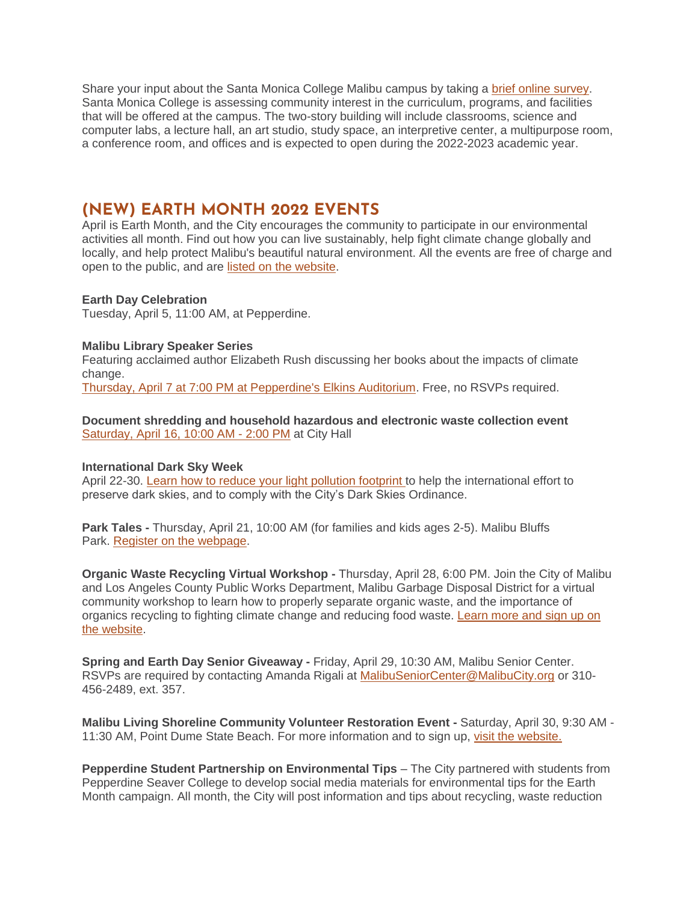Share your input about the Santa Monica College Malibu campus by taking a [brief online survey.](https://www.smc.edu/malibusurvey) Santa Monica College is assessing community interest in the curriculum, programs, and facilities that will be offered at the campus. The two-story building will include classrooms, science and computer labs, a lecture hall, an art studio, study space, an interpretive center, a multipurpose room, a conference room, and offices and is expected to open during the 2022-2023 academic year.

## **(NEW) EARTH MONTH 2022 EVENTS**

April is Earth Month, and the City encourages the community to participate in our environmental activities all month. Find out how you can live sustainably, help fight climate change globally and locally, and help protect Malibu's beautiful natural environment. All the events are free of charge and open to the public, and are [listed on the website.](http://www.malibucity.org/EarthMonth)

### **Earth Day Celebration**

Tuesday, April 5, 11:00 AM, at Pepperdine.

#### **Malibu Library Speaker Series**

Featuring acclaimed author Elizabeth Rush discussing her books about the impacts of climate change.

[Thursday, April 7 at 7:00 PM at Pepperdine's Elkins Auditorium.](http://malibucity.org/LibrarySpeakers) Free, no RSVPs required.

#### **Document shredding and household hazardous and electronic waste collection event** [Saturday, April 16, 10:00 AM -](http://www.malibucity.org/HHWRecycling) 2:00 PM at City Hall

#### **International Dark Sky Week**

April 22-30. [Learn how to reduce your light pollution footprint](https://idsw.darksky.org/) to help the international effort to preserve dark skies, and to comply with the City's Dark Skies Ordinance.

**Park Tales -** Thursday, April 21, 10:00 AM (for families and kids ages 2-5). Malibu Bluffs Park. [Register on the webpage.](http://www.malibucity.org/Register)

**Organic Waste Recycling Virtual Workshop -** Thursday, April 28, 6:00 PM. Join the City of Malibu and Los Angeles County Public Works Department, Malibu Garbage Disposal District for a virtual community workshop to learn how to properly separate organic waste, and the importance of organics recycling to fighting climate change and reducing food waste. [Learn more and sign up on](http://www.malibucity.org/OrganicsRecyclingWorkshop)  [the website.](http://www.malibucity.org/OrganicsRecyclingWorkshop)

**Spring and Earth Day Senior Giveaway -** Friday, April 29, 10:30 AM, Malibu Senior Center. RSVPs are required by contacting Amanda Rigali at [MalibuSeniorCenter@MalibuCity.org](mailto:MalibuSeniorCenter@MalibuCity.org) or 310- 456-2489, ext. 357.

**Malibu Living Shoreline Community Volunteer Restoration Event -** Saturday, April 30, 9:30 AM - 11:30 AM, Point Dume State Beach. For more information and to sign up, [visit the website.](http://www.malibucity.org/DuneRestorationVolunteer)

**Pepperdine Student Partnership on Environmental Tips** – The City partnered with students from Pepperdine Seaver College to develop social media materials for environmental tips for the Earth Month campaign. All month, the City will post information and tips about recycling, waste reduction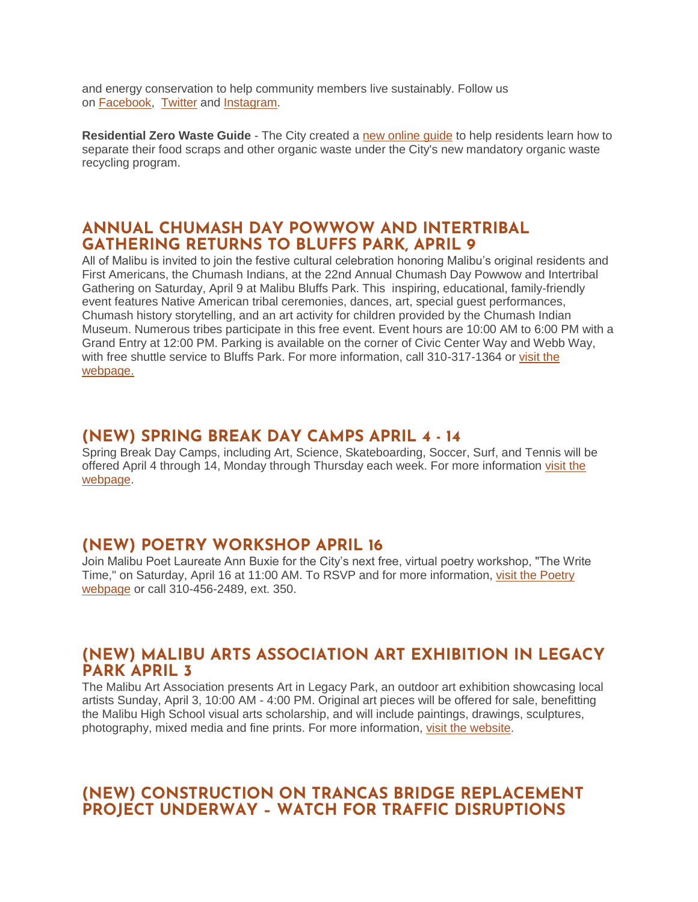and energy conservation to help community members live sustainably. Follow us on [Facebook,](https://www.facebook.com/MalibuEnviro) [Twitter](https://twitter.com/MalibuEnviroDpt) and [Instagram.](https://www.instagram.com/keepitcleanmalibu)

**Residential Zero Waste Guide** - The City created a [new online guide](http://www.malibucity.org/homezerowasteguide) to help residents learn how to separate their food scraps and other organic waste under the City's new mandatory organic waste recycling program.

### **ANNUAL CHUMASH DAY POWWOW AND INTERTRIBAL GATHERING RETURNS TO BLUFFS PARK, APRIL 9**

All of Malibu is invited to join the festive cultural celebration honoring Malibu's original residents and First Americans, the Chumash Indians, at the 22nd Annual Chumash Day Powwow and Intertribal Gathering on Saturday, April 9 at Malibu Bluffs Park. This inspiring, educational, family-friendly event features Native American tribal ceremonies, dances, art, special guest performances, Chumash history storytelling, and an art activity for children provided by the Chumash Indian Museum. Numerous tribes participate in this free event. Event hours are 10:00 AM to 6:00 PM with a Grand Entry at 12:00 PM. Parking is available on the corner of Civic Center Way and Webb Way, with free shuttle service to Bluffs Park. For more information, call 310-317-1364 or [visit the](http://www.malibucity.org/ChumashDay)  [webpage.](http://www.malibucity.org/ChumashDay)

## **(NEW) SPRING BREAK DAY CAMPS APRIL 4 - 14**

Spring Break Day Camps, including Art, Science, Skateboarding, Soccer, Surf, and Tennis will be offered April 4 through 14, Monday through Thursday each week. For more information [visit the](http://malibucity.org/DayCamps)  [webpage.](http://malibucity.org/DayCamps)

## **(NEW) POETRY WORKSHOP APRIL 16**

Join Malibu Poet Laureate Ann Buxie for the City's next free, virtual poetry workshop, "The Write Time," on Saturday, April 16 at 11:00 AM. To RSVP and for more information, [visit the Poetry](https://www.malibucity.org/poetry)  [webpage](https://www.malibucity.org/poetry) or call 310-456-2489, ext. 350.

### **(NEW) MALIBU ARTS ASSOCIATION ART EXHIBITION IN LEGACY PARK APRIL 3**

The Malibu Art Association presents Art in Legacy Park, an outdoor art exhibition showcasing local artists Sunday, April 3, 10:00 AM - 4:00 PM. Original art pieces will be offered for sale, benefitting the Malibu High School visual arts scholarship, and will include paintings, drawings, sculptures, photography, mixed media and fine prints. For more information, [visit the website.](https://www.malibucity.org/calendar.aspx?EID=6657)

# **(NEW) CONSTRUCTION ON TRANCAS BRIDGE REPLACEMENT PROJECT UNDERWAY – WATCH FOR TRAFFIC DISRUPTIONS**